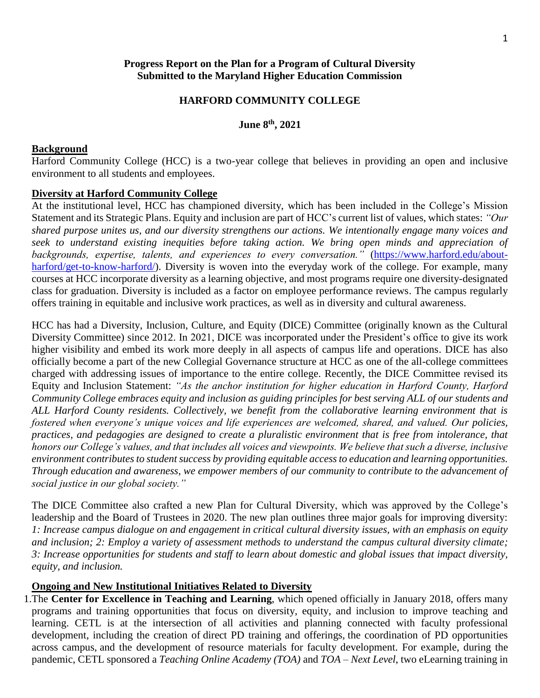#### **Progress Report on the Plan for a Program of Cultural Diversity Submitted to the Maryland Higher Education Commission**

#### **HARFORD COMMUNITY COLLEGE**

#### **June 8 th, 2021**

#### **Background**

Harford Community College (HCC) is a two-year college that believes in providing an open and inclusive environment to all students and employees.

#### **Diversity at Harford Community College**

At the institutional level, HCC has championed diversity, which has been included in the College's Mission Statement and its Strategic Plans. Equity and inclusion are part of HCC's current list of values, which states: *"Our shared purpose unites us, and our diversity strengthens our actions. We intentionally engage many voices and seek to understand existing inequities before taking action. We bring open minds and appreciation of*  backgrounds, expertise, talents, and experiences to every conversation." [\(https://www.harford.edu/about](https://www.harford.edu/about-harford/get-to-know-harford/)[harford/get-to-know-harford/\)](https://www.harford.edu/about-harford/get-to-know-harford/). Diversity is woven into the everyday work of the college. For example, many courses at HCC incorporate diversity as a learning objective, and most programs require one diversity-designated class for graduation. Diversity is included as a factor on employee performance reviews. The campus regularly offers training in equitable and inclusive work practices, as well as in diversity and cultural awareness.

HCC has had a Diversity, Inclusion, Culture, and Equity (DICE) Committee (originally known as the Cultural Diversity Committee) since 2012. In 2021, DICE was incorporated under the President's office to give its work higher visibility and embed its work more deeply in all aspects of campus life and operations. DICE has also officially become a part of the new Collegial Governance structure at HCC as one of the all-college committees charged with addressing issues of importance to the entire college. Recently, the DICE Committee revised its Equity and Inclusion Statement: *"As the anchor institution for higher education in Harford County, Harford Community College embraces equity and inclusion as guiding principles for best serving ALL of our students and ALL Harford County residents. Collectively, we benefit from the collaborative learning environment that is fostered when everyone's unique voices and life experiences are welcomed, shared, and valued. Our policies, practices, and pedagogies are designed to create a pluralistic environment that is free from intolerance, that honors our College's values, and that includes all voices and viewpoints. We believe that such a diverse, inclusive environment contributes to student success by providing equitable access to education and learning opportunities. Through education and awareness, we empower members of our community to contribute to the advancement of social justice in our global society."*

The DICE Committee also crafted a new Plan for Cultural Diversity, which was approved by the College's leadership and the Board of Trustees in 2020. The new plan outlines three major goals for improving diversity: *1: Increase campus dialogue on and engagement in critical cultural diversity issues, with an emphasis on equity and inclusion; 2: Employ a variety of assessment methods to understand the campus cultural diversity climate; 3: Increase opportunities for students and staff to learn about domestic and global issues that impact diversity, equity, and inclusion.*

#### **Ongoing and New Institutional Initiatives Related to Diversity**

1.The **Center for Excellence in Teaching and Learning**, which opened officially in January 2018, offers many programs and training opportunities that focus on diversity, equity, and inclusion to improve teaching and learning. CETL is at the intersection of all activities and planning connected with faculty professional development, including the creation of direct PD training and offerings, the coordination of PD opportunities across campus, and the development of resource materials for faculty development. For example, during the pandemic, CETL sponsored a *Teaching Online Academy (TOA)* and *TOA – Next Level*, two eLearning training in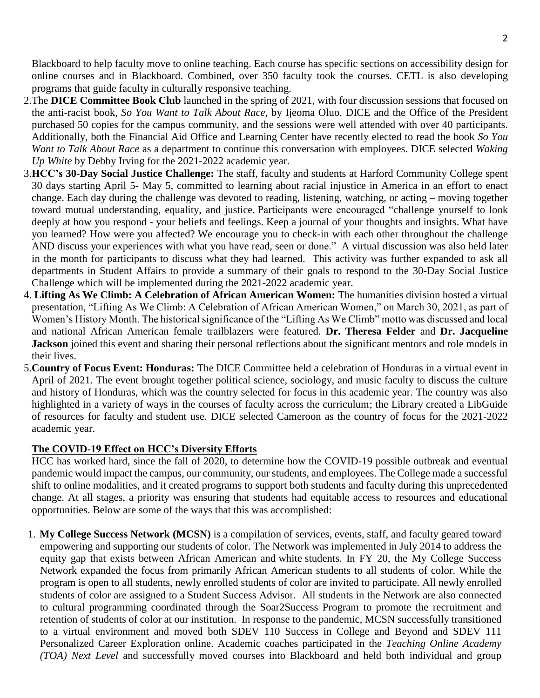Blackboard to help faculty move to online teaching. Each course has specific sections on accessibility design for online courses and in Blackboard. Combined, over 350 faculty took the courses. CETL is also developing programs that guide faculty in culturally responsive teaching.

- 2.The **DICE Committee Book Club** launched in the spring of 2021, with four discussion sessions that focused on the anti-racist book, *So You Want to Talk About Race*, by Ijeoma Oluo. DICE and the Office of the President purchased 50 copies for the campus community, and the sessions were well attended with over 40 participants. Additionally, both the Financial Aid Office and Learning Center have recently elected to read the book *So You Want to Talk About Race* as a department to continue this conversation with employees. DICE selected *Waking Up White* by Debby Irving for the 2021-2022 academic year.
- 3.**HCC's 30-Day Social Justice Challenge:** The staff, faculty and students at Harford Community College spent 30 days starting April 5- May 5, committed to learning about racial injustice in America in an effort to enact change. Each day during the challenge was devoted to reading, listening, watching, or acting – moving together toward mutual understanding, equality, and justice. Participants were encouraged "challenge yourself to look deeply at how you respond - your beliefs and feelings. Keep a journal of your thoughts and insights. What have you learned? How were you affected? We encourage you to check-in with each other throughout the challenge AND discuss your experiences with what you have read, seen or done." A virtual discussion was also held later in the month for participants to discuss what they had learned. This activity was further expanded to ask all departments in Student Affairs to provide a summary of their goals to respond to the 30-Day Social Justice Challenge which will be implemented during the 2021-2022 academic year.
- 4. **Lifting As We Climb: A Celebration of African American Women:** The humanities division hosted a virtual presentation, "Lifting As We Climb: A Celebration of African American Women," on March 30, 2021, as part of Women's History Month. The historical significance of the "Lifting As We Climb" motto was discussed and local and national African American female trailblazers were featured. **Dr. Theresa Felder** and **Dr. Jacqueline Jackson** joined this event and sharing their personal reflections about the significant mentors and role models in their lives.
- 5.**Country of Focus Event: Honduras:** The DICE Committee held a celebration of Honduras in a virtual event in April of 2021. The event brought together political science, sociology, and music faculty to discuss the culture and history of Honduras, which was the country selected for focus in this academic year. The country was also highlighted in a variety of ways in the courses of faculty across the curriculum; the Library created a LibGuide of resources for faculty and student use. DICE selected Cameroon as the country of focus for the 2021-2022 academic year.

#### **The COVID-19 Effect on HCC's Diversity Efforts**

HCC has worked hard, since the fall of 2020, to determine how the COVID-19 possible outbreak and eventual pandemic would impact the campus, our community, our students, and employees. The College made a successful shift to online modalities, and it created programs to support both students and faculty during this unprecedented change. At all stages, a priority was ensuring that students had equitable access to resources and educational opportunities. Below are some of the ways that this was accomplished:

1. **My College Success Network (MCSN)** is a compilation of services, events, staff, and faculty geared toward empowering and supporting our students of color. The Network was implemented in July 2014 to address the equity gap that exists between African American and white students. In FY 20, the My College Success Network expanded the focus from primarily African American students to all students of color. While the program is open to all students, newly enrolled students of color are invited to participate. All newly enrolled students of color are assigned to a Student Success Advisor. All students in the Network are also connected to cultural programming coordinated through the Soar2Success Program to promote the recruitment and retention of students of color at our institution. In response to the pandemic, MCSN successfully transitioned to a virtual environment and moved both SDEV 110 Success in College and Beyond and SDEV 111 Personalized Career Exploration online. Academic coaches participated in the *Teaching Online Academy (TOA) Next Level* and successfully moved courses into Blackboard and held both individual and group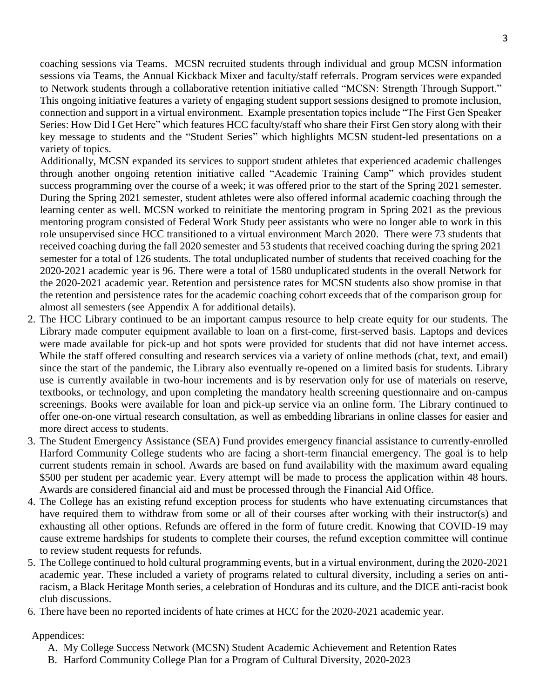coaching sessions via Teams. MCSN recruited students through individual and group MCSN information sessions via Teams, the Annual Kickback Mixer and faculty/staff referrals. Program services were expanded to Network students through a collaborative retention initiative called "MCSN: Strength Through Support." This ongoing initiative features a variety of engaging student support sessions designed to promote inclusion, connection and support in a virtual environment. Example presentation topics include "The First Gen Speaker Series: How Did I Get Here" which features HCC faculty/staff who share their First Gen story along with their key message to students and the "Student Series" which highlights MCSN student-led presentations on a variety of topics.

Additionally, MCSN expanded its services to support student athletes that experienced academic challenges through another ongoing retention initiative called "Academic Training Camp" which provides student success programming over the course of a week; it was offered prior to the start of the Spring 2021 semester. During the Spring 2021 semester, student athletes were also offered informal academic coaching through the learning center as well. MCSN worked to reinitiate the mentoring program in Spring 2021 as the previous mentoring program consisted of Federal Work Study peer assistants who were no longer able to work in this role unsupervised since HCC transitioned to a virtual environment March 2020. There were 73 students that received coaching during the fall 2020 semester and 53 students that received coaching during the spring 2021 semester for a total of 126 students. The total unduplicated number of students that received coaching for the 2020-2021 academic year is 96. There were a total of 1580 unduplicated students in the overall Network for the 2020-2021 academic year. Retention and persistence rates for MCSN students also show promise in that the retention and persistence rates for the academic coaching cohort exceeds that of the comparison group for almost all semesters (see Appendix A for additional details).

- 2. The HCC Library continued to be an important campus resource to help create equity for our students. The Library made computer equipment available to loan on a first-come, first-served basis. Laptops and devices were made available for pick-up and hot spots were provided for students that did not have internet access. While the staff offered consulting and research services via a variety of online methods (chat, text, and email) since the start of the pandemic, the Library also eventually re-opened on a limited basis for students. Library use is currently available in two-hour increments and is by reservation only for use of materials on reserve, textbooks, or technology, and upon completing the mandatory health screening questionnaire and on-campus screenings. Books were available for loan and pick-up service via an online form. The Library continued to offer one-on-one virtual research consultation, as well as embedding librarians in online classes for easier and more direct access to students.
- 3. The [Student Emergency Assistance \(SEA\) Fund](https://login.microsoftonline.com/common/oauth2/authorize?response_mode=form_post&response_type=id_token+code&scope=openid&mkt=en-US&msafed=0&nonce=e6d72a8f-c2bf-49b1-bcc0-2a4cd798cf89.637492723990107890&state=https%3a%2f%2fforms.office.com%2fPages%2fResponsePage.aspx%3fid%3dWrludeFoekuWB2heEnc2jvKDs2DKcU9Erj44EEXSrctUNEE4UUM2TjVLNExFU1NNTkhGQktTTTNRUy4u&client_id=c9a559d2-7aab-4f13-a6ed-e7e9c52aec87&redirect_uri=https%3a%2f%2fforms.office.com%2fauth%2fsignin) provides emergency financial assistance to currently-enrolled Harford Community College students who are facing a short-term financial emergency. The goal is to help current students remain in school. Awards are based on fund availability with the maximum award equaling \$500 per student per academic year. Every attempt will be made to process the application within 48 hours. Awards are considered financial aid and must be processed through the Financial Aid Office.
- 4. The College has an existing refund exception process for students who have extenuating circumstances that have required them to withdraw from some or all of their courses after working with their instructor(s) and exhausting all other options. Refunds are offered in the form of future credit. Knowing that COVID-19 may cause extreme hardships for students to complete their courses, the refund exception committee will continue to review student requests for refunds.
- 5. The College continued to hold cultural programming events, but in a virtual environment, during the 2020-2021 academic year. These included a variety of programs related to cultural diversity, including a series on antiracism, a Black Heritage Month series, a celebration of Honduras and its culture, and the DICE anti-racist book club discussions.
- 6. There have been no reported incidents of hate crimes at HCC for the 2020-2021 academic year.

#### Appendices:

- A. My College Success Network (MCSN) Student Academic Achievement and Retention Rates
- B. Harford Community College Plan for a Program of Cultural Diversity, 2020-2023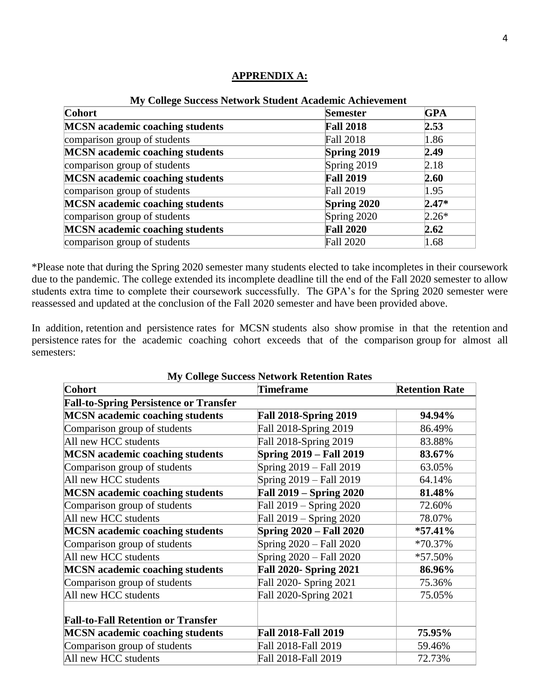| <u>tree Concert Buccess Ferning Buddent Academic Achievement</u> |                  |            |  |
|------------------------------------------------------------------|------------------|------------|--|
| <b>Cohort</b>                                                    | <b>Semester</b>  | <b>GPA</b> |  |
| <b>MCSN</b> academic coaching students                           | <b>Fall 2018</b> | 2.53       |  |
| comparison group of students                                     | <b>Fall 2018</b> | 1.86       |  |
| <b>MCSN</b> academic coaching students                           | Spring 2019      | 2.49       |  |
| comparison group of students                                     | Spring 2019      | 2.18       |  |
| <b>MCSN</b> academic coaching students                           | <b>Fall 2019</b> | 2.60       |  |
| comparison group of students                                     | <b>Fall 2019</b> | 1.95       |  |
| <b>MCSN</b> academic coaching students                           | Spring 2020      | $2.47*$    |  |
| comparison group of students                                     | Spring 2020      | $2.26*$    |  |
| <b>MCSN</b> academic coaching students                           | <b>Fall 2020</b> | 2.62       |  |
| comparison group of students                                     | <b>Fall 2020</b> | 1.68       |  |

#### **APPRENDIX A:**

**My College Success Network Student Academic Achievement**

\*Please note that during the Spring 2020 semester many students elected to take incompletes in their coursework due to the pandemic. The college extended its incomplete deadline till the end of the Fall 2020 semester to allow students extra time to complete their coursework successfully. The GPA's for the Spring 2020 semester were reassessed and updated at the conclusion of the Fall 2020 semester and have been provided above.

In addition, retention and persistence rates for MCSN students also show promise in that the retention and persistence rates for the academic coaching cohort exceeds that of the comparison group for almost all semesters:

| <b>My College Success Network Retention Rates</b> |                                |                       |  |
|---------------------------------------------------|--------------------------------|-----------------------|--|
| Cohort                                            | <b>Timeframe</b>               | <b>Retention Rate</b> |  |
| <b>Fall-to-Spring Persistence or Transfer</b>     |                                |                       |  |
| <b>MCSN</b> academic coaching students            | <b>Fall 2018-Spring 2019</b>   | 94.94%                |  |
| Comparison group of students                      | Fall 2018-Spring 2019          | 86.49%                |  |
| All new HCC students                              | Fall 2018-Spring 2019          | 83.88%                |  |
| <b>MCSN</b> academic coaching students            | <b>Spring 2019 - Fall 2019</b> | 83.67%                |  |
| Comparison group of students                      | Spring 2019 – Fall 2019        | 63.05%                |  |
| All new HCC students                              | Spring 2019 – Fall 2019        | 64.14%                |  |
| <b>MCSN</b> academic coaching students            | <b>Fall 2019 – Spring 2020</b> | 81.48%                |  |
| Comparison group of students                      | Fall 2019 – Spring 2020        | 72.60%                |  |
| All new HCC students                              | Fall 2019 – Spring 2020        | 78.07%                |  |
| <b>MCSN</b> academic coaching students            | <b>Spring 2020 – Fall 2020</b> | $*57.41\%$            |  |
| Comparison group of students                      | Spring 2020 – Fall 2020        | *70.37%               |  |
| All new HCC students                              | Spring 2020 – Fall 2020        | *57.50%               |  |
| <b>MCSN</b> academic coaching students            | <b>Fall 2020- Spring 2021</b>  | 86.96%                |  |
| Comparison group of students                      | Fall 2020- Spring 2021         | 75.36%                |  |
| All new HCC students                              | Fall 2020-Spring 2021          | 75.05%                |  |
|                                                   |                                |                       |  |
| <b>Fall-to-Fall Retention or Transfer</b>         |                                |                       |  |
| <b>MCSN</b> academic coaching students            | <b>Fall 2018-Fall 2019</b>     | 75.95%                |  |
| Comparison group of students                      | Fall 2018-Fall 2019            | 59.46%                |  |
| All new HCC students                              | Fall 2018-Fall 2019            | 72.73%                |  |

## **My College Success Network Retention Rates**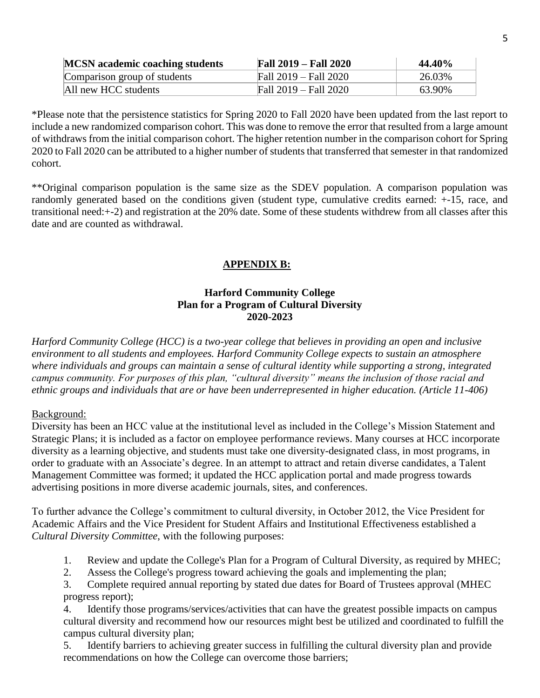| <b>MCSN</b> academic coaching students | <b>Fall 2019 – Fall 2020</b> | 44.40% |
|----------------------------------------|------------------------------|--------|
| Comparison group of students           | Fall 2019 – Fall 2020        | 26.03% |
| All new HCC students                   | Fall 2019 – Fall 2020        | 63.90% |

\*Please note that the persistence statistics for Spring 2020 to Fall 2020 have been updated from the last report to include a new randomized comparison cohort. This was done to remove the error that resulted from a large amount of withdraws from the initial comparison cohort. The higher retention number in the comparison cohort for Spring 2020 to Fall 2020 can be attributed to a higher number of students that transferred that semester in that randomized cohort.

\*\*Original comparison population is the same size as the SDEV population. A comparison population was randomly generated based on the conditions given (student type, cumulative credits earned: +-15, race, and transitional need:+-2) and registration at the 20% date. Some of these students withdrew from all classes after this date and are counted as withdrawal.

# **APPENDIX B:**

### **Harford Community College Plan for a Program of Cultural Diversity 2020-2023**

*Harford Community College (HCC) is a two-year college that believes in providing an open and inclusive environment to all students and employees. Harford Community College expects to sustain an atmosphere where individuals and groups can maintain a sense of cultural identity while supporting a strong, integrated campus community. For purposes of this plan, "cultural diversity" means the inclusion of those racial and ethnic groups and individuals that are or have been underrepresented in higher education. (Article 11-406)*

#### Background:

Diversity has been an HCC value at the institutional level as included in the College's Mission Statement and Strategic Plans; it is included as a factor on employee performance reviews. Many courses at HCC incorporate diversity as a learning objective, and students must take one diversity-designated class, in most programs, in order to graduate with an Associate's degree. In an attempt to attract and retain diverse candidates, a Talent Management Committee was formed; it updated the HCC application portal and made progress towards advertising positions in more diverse academic journals, sites, and conferences.

To further advance the College's commitment to cultural diversity, in October 2012, the Vice President for Academic Affairs and the Vice President for Student Affairs and Institutional Effectiveness established a *Cultural Diversity Committee*, with the following purposes:

- 1. Review and update the College's Plan for a Program of Cultural Diversity, as required by MHEC;
- 2. Assess the College's progress toward achieving the goals and implementing the plan;

3. Complete required annual reporting by stated due dates for Board of Trustees approval (MHEC progress report);

4. Identify those programs/services/activities that can have the greatest possible impacts on campus cultural diversity and recommend how our resources might best be utilized and coordinated to fulfill the campus cultural diversity plan;

5. Identify barriers to achieving greater success in fulfilling the cultural diversity plan and provide recommendations on how the College can overcome those barriers;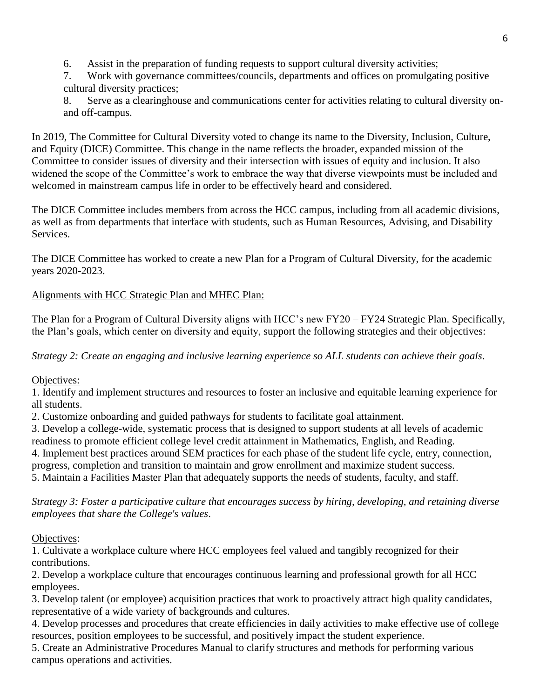6. Assist in the preparation of funding requests to support cultural diversity activities;

7. Work with governance committees/councils, departments and offices on promulgating positive cultural diversity practices;

8. Serve as a clearinghouse and communications center for activities relating to cultural diversity onand off-campus.

In 2019, The Committee for Cultural Diversity voted to change its name to the Diversity, Inclusion, Culture, and Equity (DICE) Committee. This change in the name reflects the broader, expanded mission of the Committee to consider issues of diversity and their intersection with issues of equity and inclusion. It also widened the scope of the Committee's work to embrace the way that diverse viewpoints must be included and welcomed in mainstream campus life in order to be effectively heard and considered.

The DICE Committee includes members from across the HCC campus, including from all academic divisions, as well as from departments that interface with students, such as Human Resources, Advising, and Disability Services.

The DICE Committee has worked to create a new Plan for a Program of Cultural Diversity, for the academic years 2020-2023.

Alignments with HCC Strategic Plan and MHEC Plan:

The Plan for a Program of Cultural Diversity aligns with HCC's new FY20 – FY24 Strategic Plan. Specifically, the Plan's goals, which center on diversity and equity, support the following strategies and their objectives:

*Strategy 2: Create an engaging and inclusive learning experience so ALL students can achieve their goals*.

Objectives:

1. Identify and implement structures and resources to foster an inclusive and equitable learning experience for all students.

2. Customize onboarding and guided pathways for students to facilitate goal attainment.

3. Develop a college-wide, systematic process that is designed to support students at all levels of academic readiness to promote efficient college level credit attainment in Mathematics, English, and Reading. 4. Implement best practices around SEM practices for each phase of the student life cycle, entry, connection, progress, completion and transition to maintain and grow enrollment and maximize student success. 5. Maintain a Facilities Master Plan that adequately supports the needs of students, faculty, and staff.

*Strategy 3: Foster a participative culture that encourages success by hiring, developing, and retaining diverse employees that share the College's values*.

Objectives:

1. Cultivate a workplace culture where HCC employees feel valued and tangibly recognized for their contributions.

2. Develop a workplace culture that encourages continuous learning and professional growth for all HCC employees.

3. Develop talent (or employee) acquisition practices that work to proactively attract high quality candidates, representative of a wide variety of backgrounds and cultures.

4. Develop processes and procedures that create efficiencies in daily activities to make effective use of college resources, position employees to be successful, and positively impact the student experience.

5. Create an Administrative Procedures Manual to clarify structures and methods for performing various campus operations and activities.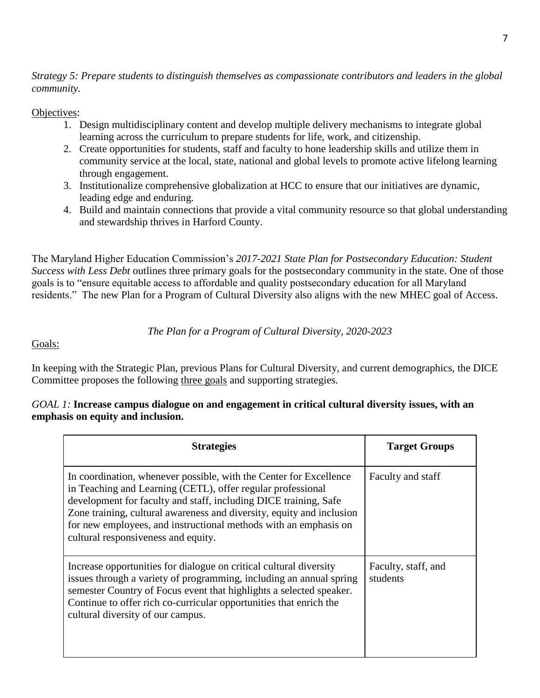*Strategy 5: Prepare students to distinguish themselves as compassionate contributors and leaders in the global community.*

### Objectives:

- 1. Design multidisciplinary content and develop multiple delivery mechanisms to integrate global learning across the curriculum to prepare students for life, work, and citizenship.
- 2. Create opportunities for students, staff and faculty to hone leadership skills and utilize them in community service at the local, state, national and global levels to promote active lifelong learning through engagement.
- 3. Institutionalize comprehensive globalization at HCC to ensure that our initiatives are dynamic, leading edge and enduring.
- 4. Build and maintain connections that provide a vital community resource so that global understanding and stewardship thrives in Harford County.

The Maryland Higher Education Commission's *2017-2021 State Plan for Postsecondary Education: Student Success with Less Debt* outlines three primary goals for the postsecondary community in the state. One of those goals is to "ensure equitable access to affordable and quality postsecondary education for all Maryland residents." The new Plan for a Program of Cultural Diversity also aligns with the new MHEC goal of Access.

## *The Plan for a Program of Cultural Diversity, 2020-2023*

### Goals:

In keeping with the Strategic Plan, previous Plans for Cultural Diversity, and current demographics, the DICE Committee proposes the following three goals and supporting strategies.

### *GOAL 1:* **Increase campus dialogue on and engagement in critical cultural diversity issues, with an emphasis on equity and inclusion.**

| <b>Strategies</b>                                                                                                                                                                                                                                                                                                                                                                         | <b>Target Groups</b>            |
|-------------------------------------------------------------------------------------------------------------------------------------------------------------------------------------------------------------------------------------------------------------------------------------------------------------------------------------------------------------------------------------------|---------------------------------|
| In coordination, whenever possible, with the Center for Excellence<br>in Teaching and Learning (CETL), offer regular professional<br>development for faculty and staff, including DICE training, Safe<br>Zone training, cultural awareness and diversity, equity and inclusion<br>for new employees, and instructional methods with an emphasis on<br>cultural responsiveness and equity. | Faculty and staff               |
| Increase opportunities for dialogue on critical cultural diversity<br>issues through a variety of programming, including an annual spring<br>semester Country of Focus event that highlights a selected speaker.<br>Continue to offer rich co-curricular opportunities that enrich the<br>cultural diversity of our campus.                                                               | Faculty, staff, and<br>students |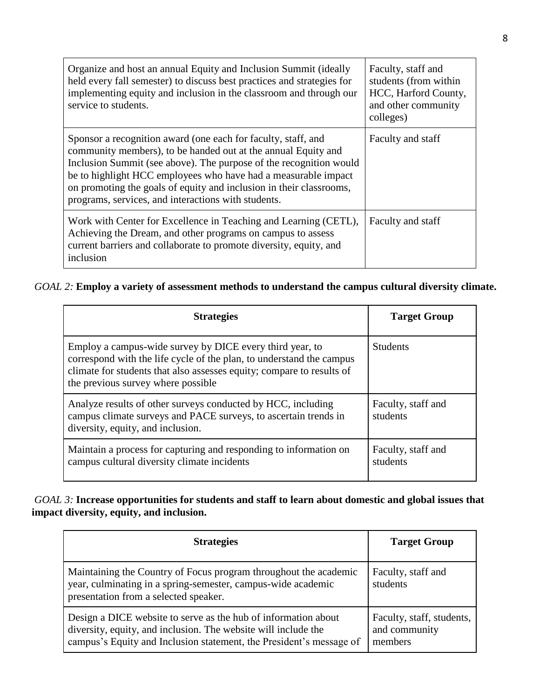| Organize and host an annual Equity and Inclusion Summit (ideally<br>held every fall semester) to discuss best practices and strategies for<br>implementing equity and inclusion in the classroom and through our<br>service to students.                                                                                                                                                             | Faculty, staff and<br>students (from within<br>HCC, Harford County,<br>and other community<br>colleges) |
|------------------------------------------------------------------------------------------------------------------------------------------------------------------------------------------------------------------------------------------------------------------------------------------------------------------------------------------------------------------------------------------------------|---------------------------------------------------------------------------------------------------------|
| Sponsor a recognition award (one each for faculty, staff, and<br>community members), to be handed out at the annual Equity and<br>Inclusion Summit (see above). The purpose of the recognition would<br>be to highlight HCC employees who have had a measurable impact<br>on promoting the goals of equity and inclusion in their classrooms,<br>programs, services, and interactions with students. | Faculty and staff                                                                                       |
| Work with Center for Excellence in Teaching and Learning (CETL),<br>Achieving the Dream, and other programs on campus to assess<br>current barriers and collaborate to promote diversity, equity, and<br>inclusion                                                                                                                                                                                   | Faculty and staff                                                                                       |

## *GOAL 2:* **Employ a variety of assessment methods to understand the campus cultural diversity climate.**

| <b>Strategies</b>                                                                                                                                                                                                                               | <b>Target Group</b>            |
|-------------------------------------------------------------------------------------------------------------------------------------------------------------------------------------------------------------------------------------------------|--------------------------------|
| Employ a campus-wide survey by DICE every third year, to<br>correspond with the life cycle of the plan, to understand the campus<br>climate for students that also assesses equity; compare to results of<br>the previous survey where possible | <b>Students</b>                |
| Analyze results of other surveys conducted by HCC, including<br>campus climate surveys and PACE surveys, to ascertain trends in<br>diversity, equity, and inclusion.                                                                            | Faculty, staff and<br>students |
| Maintain a process for capturing and responding to information on<br>campus cultural diversity climate incidents                                                                                                                                | Faculty, staff and<br>students |

### *GOAL 3:* **Increase opportunities for students and staff to learn about domestic and global issues that impact diversity, equity, and inclusion.**

| <b>Strategies</b>                                                                                                                                                                                       | <b>Target Group</b>                                   |
|---------------------------------------------------------------------------------------------------------------------------------------------------------------------------------------------------------|-------------------------------------------------------|
| Maintaining the Country of Focus program throughout the academic<br>year, culminating in a spring-semester, campus-wide academic<br>presentation from a selected speaker.                               | Faculty, staff and<br>students                        |
| Design a DICE website to serve as the hub of information about<br>diversity, equity, and inclusion. The website will include the<br>campus's Equity and Inclusion statement, the President's message of | Faculty, staff, students,<br>and community<br>members |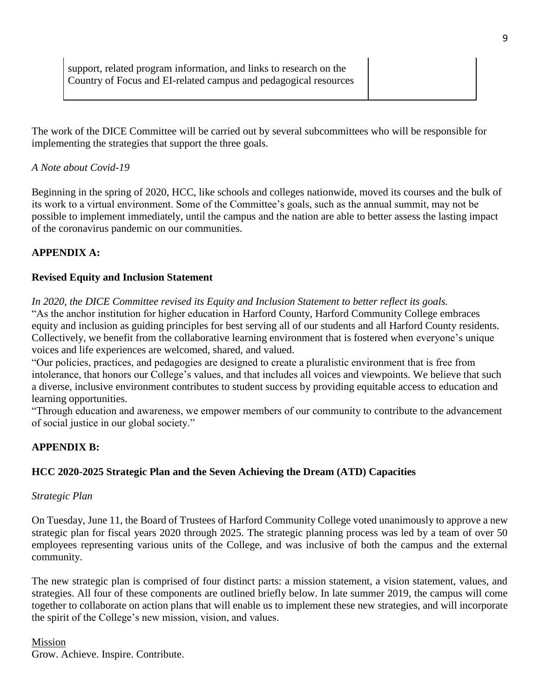The work of the DICE Committee will be carried out by several subcommittees who will be responsible for implementing the strategies that support the three goals.

### *A Note about Covid-19*

Beginning in the spring of 2020, HCC, like schools and colleges nationwide, moved its courses and the bulk of its work to a virtual environment. Some of the Committee's goals, such as the annual summit, may not be possible to implement immediately, until the campus and the nation are able to better assess the lasting impact of the coronavirus pandemic on our communities.

### **APPENDIX A:**

### **Revised Equity and Inclusion Statement**

*In 2020, the DICE Committee revised its Equity and Inclusion Statement to better reflect its goals.* 

"As the anchor institution for higher education in Harford County, Harford Community College embraces equity and inclusion as guiding principles for best serving all of our students and all Harford County residents. Collectively, we benefit from the collaborative learning environment that is fostered when everyone's unique voices and life experiences are welcomed, shared, and valued.

"Our policies, practices, and pedagogies are designed to create a pluralistic environment that is free from intolerance, that honors our College's values, and that includes all voices and viewpoints. We believe that such a diverse, inclusive environment contributes to student success by providing equitable access to education and learning opportunities.

"Through education and awareness, we empower members of our community to contribute to the advancement of social justice in our global society."

## **APPENDIX B:**

## **HCC 2020-2025 Strategic Plan and the Seven Achieving the Dream (ATD) Capacities**

### *Strategic Plan*

On Tuesday, June 11, the Board of Trustees of Harford Community College voted unanimously to approve a new strategic plan for fiscal years 2020 through 2025. The strategic planning process was led by a team of over 50 employees representing various units of the College, and was inclusive of both the campus and the external community.

The new strategic plan is comprised of four distinct parts: a mission statement, a vision statement, values, and strategies. All four of these components are outlined briefly below. In late summer 2019, the campus will come together to collaborate on action plans that will enable us to implement these new strategies, and will incorporate the spirit of the College's new mission, vision, and values.

### Mission

Grow. Achieve. Inspire. Contribute.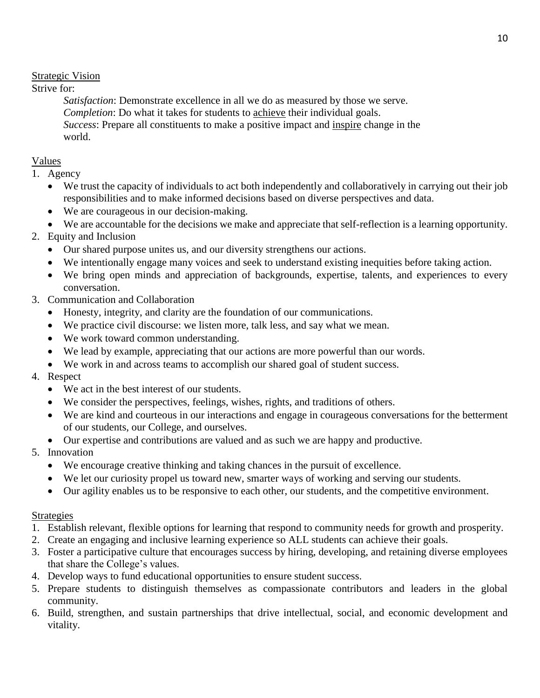## Strategic Vision

### Strive for:

*Satisfaction*: Demonstrate excellence in all we do as measured by those we serve. *Completion*: Do what it takes for students to achieve their individual goals. *Success*: Prepare all constituents to make a positive impact and inspire change in the world.

## Values

- 1. Agency
	- We trust the capacity of individuals to act both independently and collaboratively in carrying out their job responsibilities and to make informed decisions based on diverse perspectives and data.
	- We are courageous in our decision-making.
	- We are accountable for the decisions we make and appreciate that self-reflection is a learning opportunity.

# 2. Equity and Inclusion

- Our shared purpose unites us, and our diversity strengthens our actions.
- We intentionally engage many voices and seek to understand existing inequities before taking action.
- We bring open minds and appreciation of backgrounds, expertise, talents, and experiences to every conversation.
- 3. Communication and Collaboration
	- Honesty, integrity, and clarity are the foundation of our communications.
	- We practice civil discourse: we listen more, talk less, and say what we mean.
	- We work toward common understanding.
	- We lead by example, appreciating that our actions are more powerful than our words.
	- We work in and across teams to accomplish our shared goal of student success.

## 4. Respect

- We act in the best interest of our students.
- We consider the perspectives, feelings, wishes, rights, and traditions of others.
- We are kind and courteous in our interactions and engage in courageous conversations for the betterment of our students, our College, and ourselves.
- Our expertise and contributions are valued and as such we are happy and productive.
- 5. Innovation
	- We encourage creative thinking and taking chances in the pursuit of excellence.
	- We let our curiosity propel us toward new, smarter ways of working and serving our students.
	- Our agility enables us to be responsive to each other, our students, and the competitive environment.

## **Strategies**

- 1. Establish relevant, flexible options for learning that respond to community needs for growth and prosperity.
- 2. Create an engaging and inclusive learning experience so ALL students can achieve their goals.
- 3. Foster a participative culture that encourages success by hiring, developing, and retaining diverse employees that share the College's values.
- 4. Develop ways to fund educational opportunities to ensure student success.
- 5. Prepare students to distinguish themselves as compassionate contributors and leaders in the global community.
- 6. Build, strengthen, and sustain partnerships that drive intellectual, social, and economic development and vitality.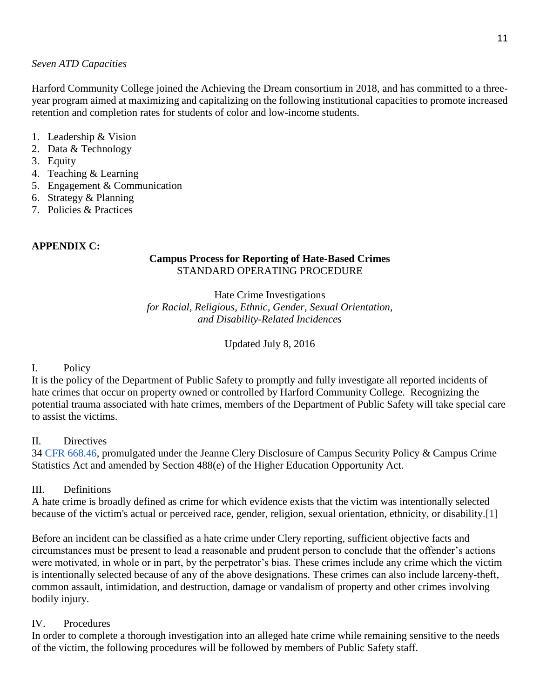#### *Seven ATD Capacities*

Harford Community College joined the Achieving the Dream consortium in 2018, and has committed to a threeyear program aimed at maximizing and capitalizing on the following institutional capacities to promote increased retention and completion rates for students of color and low-income students.

#### 1. Leadership & Vision

- 2. Data & Technology
- 3. Equity
- 4. Teaching & Learning
- 5. Engagement & Communication
- 6. Strategy & Planning
- 7. Policies & Practices

### **APPENDIX C:**

## **Campus Process for Reporting of Hate-Based Crimes** STANDARD OPERATING PROCEDURE

Hate Crime Investigations *for Racial, Religious, Ethnic, Gender, Sexual Orientation, and Disability-Related Incidences*

Updated July 8, 2016

### I. Policy

It is the policy of the Department of Public Safety to promptly and fully investigate all reported incidents of hate crimes that occur on property owned or controlled by Harford Community College. Recognizing the potential trauma associated with hate crimes, members of the Department of Public Safety will take special care to assist the victims.

### II. Directives

3[4](http://en.wikipedia.org/wiki/Code_of_Federal_Regulations) [CFR](http://en.wikipedia.org/wiki/Code_of_Federal_Regulations) [668.46,](http://frwebgate.access.gpo.gov/cgi-bin/get-cfr.cgi?YEAR=current&TITLE=34&PART=668&SECTION=46&SUBPART=&TYPE=TEXT) promulgated under the Jeanne Clery Disclosure of Campus Security Policy & Campus Crime Statistics Act and amended by Section 488(e) of the Higher Education Opportunity Act.

### III. Definitions

A hate crime is broadly defined as crime for which evidence exists that the victim was intentionally selected because of the victim's actual or perceived race, gender, religion, sexual orientation, ethnicity, or disability.[1]

Before an incident can be classified as a hate crime under Clery reporting, sufficient objective facts and circumstances must be present to lead a reasonable and prudent person to conclude that the offender's actions were motivated, in whole or in part, by the perpetrator's bias. These crimes include any crime which the victim is intentionally selected because of any of the above designations. These crimes can also include larceny-theft, common assault, intimidation, and destruction, damage or vandalism of property and other crimes involving bodily injury.

### IV. Procedures

In order to complete a thorough investigation into an alleged hate crime while remaining sensitive to the needs of the victim, the following procedures will be followed by members of Public Safety staff.